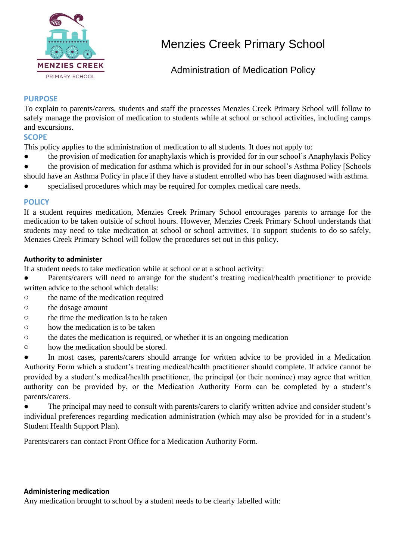

# Menzies Creek Primary School

Administration of Medication Policy

### **PURPOSE**

To explain to parents/carers, students and staff the processes Menzies Creek Primary School will follow to safely manage the provision of medication to students while at school or school activities, including camps and excursions.

### **SCOPE**

This policy applies to the administration of medication to all students. It does not apply to:

- the provision of medication for anaphylaxis which is provided for in our school's Anaphylaxis Policy
- the provision of medication for asthma which is provided for in our school's Asthma Policy [Schools
- should have an Asthma Policy in place if they have a student enrolled who has been diagnosed with asthma.
- specialised procedures which may be required for complex medical care needs.

### **POLICY**

If a student requires medication, Menzies Creek Primary School encourages parents to arrange for the medication to be taken outside of school hours. However, Menzies Creek Primary School understands that students may need to take medication at school or school activities. To support students to do so safely, Menzies Creek Primary School will follow the procedures set out in this policy.

### **Authority to administer**

If a student needs to take medication while at school or at a school activity:

● Parents/carers will need to arrange for the student's treating medical/health practitioner to provide written advice to the school which details:

- o the name of the medication required
- o the dosage amount
- o the time the medication is to be taken
- o how the medication is to be taken
- o the dates the medication is required, or whether it is an ongoing medication
- o how the medication should be stored.

● In most cases, parents/carers should arrange for written advice to be provided in a Medication Authority Form which a student's treating medical/health practitioner should complete. If advice cannot be provided by a student's medical/health practitioner, the principal (or their nominee) may agree that written authority can be provided by, or the Medication Authority Form can be completed by a student's parents/carers.

● The principal may need to consult with parents/carers to clarify written advice and consider student's individual preferences regarding medication administration (which may also be provided for in a student's Student Health Support Plan).

Parents/carers can contact Front Office for a Medication Authority Form.

#### **Administering medication**

Any medication brought to school by a student needs to be clearly labelled with: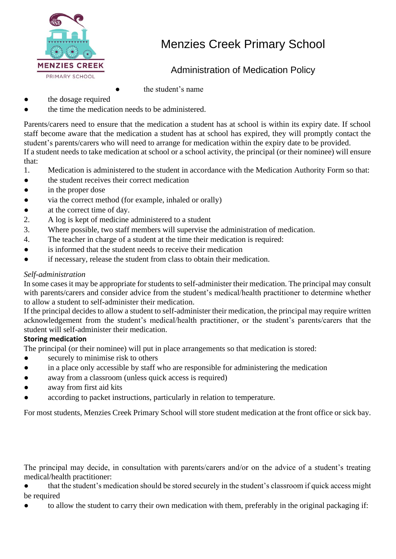

# Menzies Creek Primary School

# Administration of Medication Policy

- the student's name
- the dosage required
- the time the medication needs to be administered.

Parents/carers need to ensure that the medication a student has at school is within its expiry date. If school staff become aware that the medication a student has at school has expired, they will promptly contact the student's parents/carers who will need to arrange for medication within the expiry date to be provided. If a student needs to take medication at school or a school activity, the principal (or their nominee) will ensure that:

- 1. Medication is administered to the student in accordance with the Medication Authority Form so that:
- the student receives their correct medication
- in the proper dose
- via the correct method (for example, inhaled or orally)
- at the correct time of day.
- 2. A log is kept of medicine administered to a student
- 3. Where possible, two staff members will supervise the administration of medication.
- 4. The teacher in charge of a student at the time their medication is required:
- is informed that the student needs to receive their medication
- if necessary, release the student from class to obtain their medication.

## *Self-administration*

In some cases it may be appropriate for students to self-administer their medication. The principal may consult with parents/carers and consider advice from the student's medical/health practitioner to determine whether to allow a student to self-administer their medication.

If the principal decides to allow a student to self-administer their medication, the principal may require written acknowledgement from the student's medical/health practitioner, or the student's parents/carers that the student will self-administer their medication.

### **Storing medication**

The principal (or their nominee) will put in place arrangements so that medication is stored:

- securely to minimise risk to others
- in a place only accessible by staff who are responsible for administering the medication
- away from a classroom (unless quick access is required)
- away from first aid kits
- according to packet instructions, particularly in relation to temperature.

For most students, Menzies Creek Primary School will store student medication at the front office or sick bay.

The principal may decide, in consultation with parents/carers and/or on the advice of a student's treating medical/health practitioner:

that the student's medication should be stored securely in the student's classroom if quick access might be required

● to allow the student to carry their own medication with them, preferably in the original packaging if: